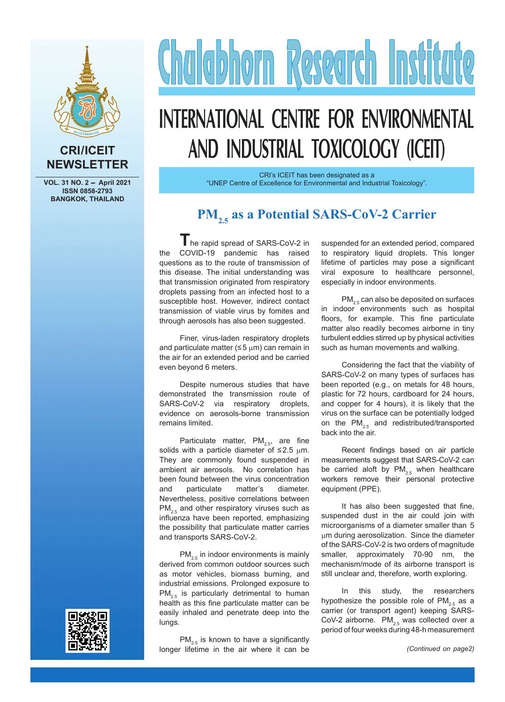

#### **CRI/ICEIT NEWSLETTER**

VOL. 31 NO. 2 - April 2021 **ISSN 0858-2793 BANGKOK, THAILAND**

# Chalabhorn Research Institute

# **INTERNATIONAL CENTRE FOR ENVIRONMENTAL AND INDUSTRIAL TOXICOLOGY (ICEIT)**

CRI's ICEIT has been designated as a "UNEP Centre of Excellence for Environmental and Industrial Toxicology".

## **PM<sub>2.5</sub>** as a Potential SARS-CoV-2 Carrier

**T** he rapid spread of SARS-CoV-2 in the COVID-19 pandemic has raised questions as to the route of transmission of this disease. The initial understanding was that transmission originated from respiratory droplets passing from an infected host to a susceptible host. However, indirect contact transmission of viable virus by fomites and through aerosols has also been suggested.

Finer, virus-laden respiratory droplets and particulate matter ( $\leq$  5  $\mu$ m) can remain in the air for an extended period and be carried even beyond 6 meters.

Despite numerous studies that have demonstrated the transmission route of SARS-CoV-2 via respiratory droplets, evidence on aerosols-borne transmission remains limited.

Particulate matter,  $PM_{2.5}$ , are fine solids with a particle diameter of  $\leq$ 2.5 µm. They are commonly found suspended in ambient air aerosols. No correlation has been found between the virus concentration and particulate matter's diameter. Nevertheless, positive correlations between  $PM_{2.5}$  and other respiratory viruses such as influenza have been reported, emphasizing the possibility that particulate matter carries and transports SARS-CoV-2.

 $PM_{2.5}$  in indoor environments is mainly derived from common outdoor sources such as motor vehicles, biomass burning, and industrial emissions. Prolonged exposure to  $PM_{2.5}$  is particularly detrimental to human health as this fine particulate matter can be easily inhaled and penetrate deep into the lungs.

suspended for an extended period, compared to respiratory liquid droplets. This longer lifetime of particles may pose a significant viral exposure to healthcare personnel, especially in indoor environments.

 $PM_{2.5}$  can also be deposited on surfaces in indoor environments such as hospital floors, for example. This fine particulate matter also readily becomes airborne in tiny turbulent eddies stirred up by physical activities such as human movements and walking.

Considering the fact that the viability of SARS-CoV-2 on many types of surfaces has been reported (e.g., on metals for 48 hours, plastic for 72 hours, cardboard for 24 hours, and copper for 4 hours), it is likely that the virus on the surface can be potentially lodged on the  $PM_{2.5}$  and redistributed/transported back into the air.

Recent findings based on air particle measurements suggest that SARS-CoV-2 can be carried aloft by  $PM_{2.5}$  when healthcare workers remove their personal protective equipment (PPE).

It has also been suggested that fine, suspended dust in the air could join with microorganisms of a diameter smaller than 5  $µm$  during aerosolization. Since the diameter of the SARS-CoV-2 is two orders of magnitude smaller, approximately 70-90 nm, the mechanism/mode of its airborne transport is still unclear and, therefore, worth exploring.

In this study, the researchers hypothesize the possible role of  $PM_{2.5}$  as a carrier (or transport agent) keeping SARS-CoV-2 airborne.  $PM_{2.5}$  was collected over a period of four weeks during 48-h measurement



 $PM_{2.5}$  is known to have a significantly longer lifetime in the air where it can be *(Continued on page2)*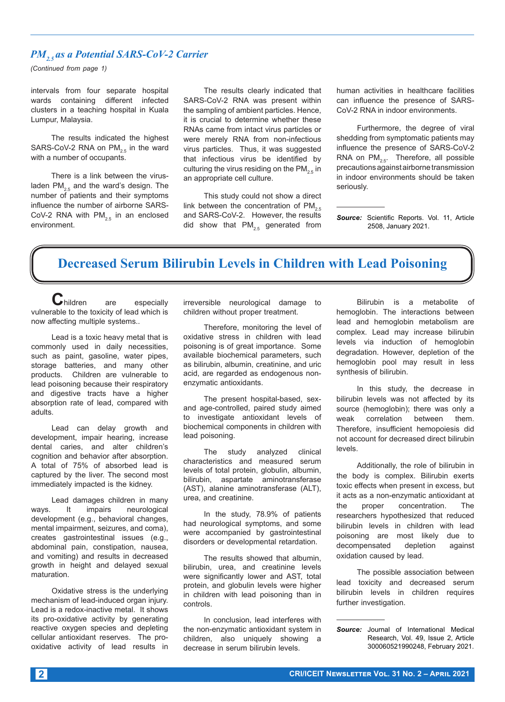#### *PM<sub>2</sub>*, as a Potential SARS-CoV-2 Carrier

*(Continued from page 1)*

intervals from four separate hospital wards containing different infected clusters in a teaching hospital in Kuala Lumpur, Malaysia.

The results indicated the highest SARS-CoV-2 RNA on  $PM_{2.5}$  in the ward with a number of occupants.

There is a link between the virusladen  $PM_{2.5}$  and the ward's design. The number of patients and their symptoms influence the number of airborne SARS-CoV-2 RNA with  $PM<sub>2.5</sub>$  in an enclosed environment.

The results clearly indicated that SARS-CoV-2 RNA was present within the sampling of ambient particles. Hence, it is crucial to determine whether these RNAs came from intact virus particles or were merely RNA from non-infectious virus particles. Thus, it was suggested that infectious virus be identified by culturing the virus residing on the  $PM_{2.5}$  in an appropriate cell culture.

This study could not show a direct link between the concentration of  $PM_{2.5}$ and SARS-CoV-2. However, the results did show that  $PM_{2.5}$  generated from

human activities in healthcare facilities can influence the presence of SARS-CoV-2 RNA in indoor environments.

Furthermore, the degree of viral shedding from symptomatic patients may influence the presence of SARS-CoV-2 RNA on  $PM_{2.5}$ . Therefore, all possible precautions against airborne transmission in indoor environments should be taken seriously.

*Source:* Scientific Reports. Vol. 11, Article 2508, January 2021.

## **Decreased Serum Bilirubin Levels in Children with Lead Poisoning**

 $C$ hildren are especially vulnerable to the toxicity of lead which is now affecting multiple systems..

Lead is a toxic heavy metal that is commonly used in daily necessities, such as paint, gasoline, water pipes, storage batteries, and many other products. Children are vulnerable to lead poisoning because their respiratory and digestive tracts have a higher absorption rate of lead, compared with adults.

Lead can delay growth and development, impair hearing, increase dental caries, and alter children's cognition and behavior after absorption. A total of 75% of absorbed lead is captured by the liver. The second most immediately impacted is the kidney.

Lead damages children in many ways. It impairs neurological development (e.g., behavioral changes, mental impairment, seizures, and coma), creates gastrointestinal issues (e.g., abdominal pain, constipation, nausea, and vomiting) and results in decreased growth in height and delayed sexual maturation.

Oxidative stress is the underlying mechanism of lead-induced organ injury. Lead is a redox-inactive metal. It shows its pro-oxidative activity by generating reactive oxygen species and depleting cellular antioxidant reserves. The prooxidative activity of lead results in irreversible neurological damage to children without proper treatment.

Therefore, monitoring the level of oxidative stress in children with lead poisoning is of great importance. Some available biochemical parameters, such as bilirubin, albumin, creatinine, and uric acid, are regarded as endogenous nonenzymatic antioxidants.

The present hospital-based, sexand age-controlled, paired study aimed to investigate antioxidant levels of biochemical components in children with lead poisoning.

The study analyzed clinical characteristics and measured serum levels of total protein, globulin, albumin, bilirubin, aspartate aminotransferase (AST), alanine aminotransferase (ALT), urea, and creatinine.

In the study, 78.9% of patients had neurological symptoms, and some were accompanied by gastrointestinal disorders or developmental retardation.

The results showed that albumin, bilirubin, urea, and creatinine levels were significantly lower and AST, total protein, and globulin levels were higher in children with lead poisoning than in controls.

In conclusion, lead interferes with the non-enzymatic antioxidant system in children, also uniquely showing a decrease in serum bilirubin levels.

Bilirubin is a metabolite of hemoglobin. The interactions between lead and hemoglobin metabolism are complex. Lead may increase bilirubin levels via induction of hemoglobin degradation. However, depletion of the hemoglobin pool may result in less synthesis of bilirubin.

In this study, the decrease in bilirubin levels was not affected by its source (hemoglobin); there was only a weak correlation between them. Therefore, insufficient hemopoiesis did not account for decreased direct bilirubin levels.

Additionally, the role of bilirubin in the body is complex. Bilirubin exerts toxic effects when present in excess, but it acts as a non-enzymatic antioxidant at the proper concentration. The researchers hypothesized that reduced bilirubin levels in children with lead poisoning are most likely due to decompensated depletion against oxidation caused by lead.

The possible association between lead toxicity and decreased serum bilirubin levels in children requires further investigation.

*Source:* Journal of International Medical Research, Vol. 49, Issue 2, Article 300060521990248, February 2021.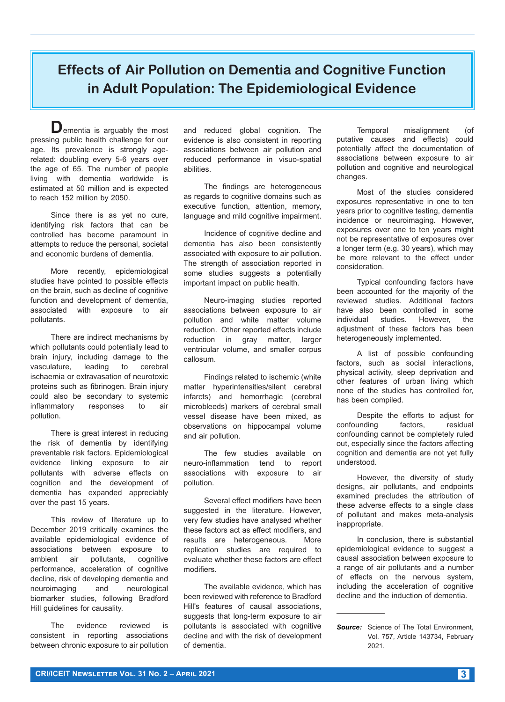# **Effects of Air Pollution on Dementia and Cognitive Function in Adult Population: The Epidemiological Evidence**

**D**ementia is arguably the most pressing public health challenge for our age. Its prevalence is strongly agerelated: doubling every 5-6 years over the age of 65. The number of people living with dementia worldwide is estimated at 50 million and is expected to reach 152 million by 2050.

Since there is as yet no cure, identifying risk factors that can be controlled has become paramount in attempts to reduce the personal, societal and economic burdens of dementia.

More recently, epidemiological studies have pointed to possible effects on the brain, such as decline of cognitive function and development of dementia, associated with exposure to air pollutants.

There are indirect mechanisms by which pollutants could potentially lead to brain injury, including damage to the vasculature, leading to cerebral ischaemia or extravasation of neurotoxic proteins such as fibrinogen. Brain injury could also be secondary to systemic inflammatory responses to air pollution.

There is great interest in reducing the risk of dementia by identifying preventable risk factors. Epidemiological evidence linking exposure to air pollutants with adverse effects on cognition and the development of dementia has expanded appreciably over the past 15 years.

This review of literature up to December 2019 critically examines the available epidemiological evidence of associations between exposure to ambient air pollutants, cognitive performance, acceleration of cognitive decline, risk of developing dementia and neuroimaging and neurological biomarker studies, following Bradford Hill guidelines for causality.

The evidence reviewed is consistent in reporting associations between chronic exposure to air pollution and reduced global cognition. The evidence is also consistent in reporting associations between air pollution and reduced performance in visuo-spatial abilities.

The findings are heterogeneous as regards to cognitive domains such as executive function, attention, memory, language and mild cognitive impairment.

Incidence of cognitive decline and dementia has also been consistently associated with exposure to air pollution. The strength of association reported in some studies suggests a potentially important impact on public health.

Neuro-imaging studies reported associations between exposure to air pollution and white matter volume reduction. Other reported effects include reduction in gray matter, larger ventricular volume, and smaller corpus callosum.

Findings related to ischemic (white matter hyperintensities/silent cerebral infarcts) and hemorrhagic (cerebral microbleeds) markers of cerebral small vessel disease have been mixed, as observations on hippocampal volume and air pollution.

The few studies available on neuro-inflammation tend to report associations with exposure to air pollution.

Several effect modifiers have been suggested in the literature. However, very few studies have analysed whether these factors act as effect modifiers, and results are heterogeneous. More replication studies are required to evaluate whether these factors are effect modifiers.

The available evidence, which has been reviewed with reference to Bradford Hill's features of causal associations, suggests that long-term exposure to air pollutants is associated with cognitive decline and with the risk of development of dementia.

Temporal misalignment (of putative causes and effects) could potentially affect the documentation of associations between exposure to air pollution and cognitive and neurological changes.

Most of the studies considered exposures representative in one to ten years prior to cognitive testing, dementia incidence or neuroimaging. However, exposures over one to ten years might not be representative of exposures over a longer term (e.g. 30 years), which may be more relevant to the effect under consideration.

Typical confounding factors have been accounted for the majority of the reviewed studies. Additional factors have also been controlled in some<br>individual studies. However, the individual studies. adjustment of these factors has been heterogeneously implemented.

A list of possible confounding factors, such as social interactions, physical activity, sleep deprivation and other features of urban living which none of the studies has controlled for, has been compiled.

Despite the efforts to adjust for confounding factors, residual confounding cannot be completely ruled out, especially since the factors affecting cognition and dementia are not yet fully understood.

However, the diversity of study designs, air pollutants, and endpoints examined precludes the attribution of these adverse effects to a single class of pollutant and makes meta-analysis inappropriate.

In conclusion, there is substantial epidemiological evidence to suggest a causal association between exposure to a range of air pollutants and a number of effects on the nervous system, including the acceleration of cognitive decline and the induction of dementia.

**Source:** Science of The Total Environment, Vol. 757, Article 143734, February 2021.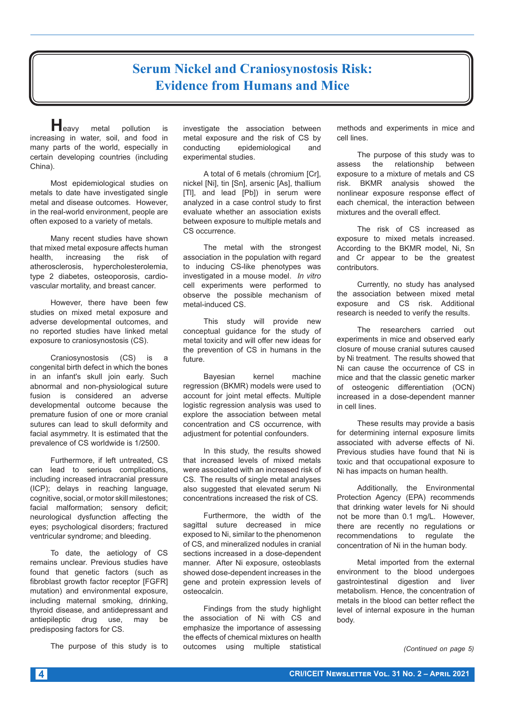#### **4 CRI/ICEIT Newsletter Vol. 31 No. 2 – April 2021**

#### **Serum Nickel and Craniosynostosis Risk: Evidence from Humans and Mice**

**H**eavy metal pollution is increasing in water, soil, and food in many parts of the world, especially in certain developing countries (including China).

Most epidemiological studies on metals to date have investigated single metal and disease outcomes. However, in the real-world environment, people are often exposed to a variety of metals.

Many recent studies have shown that mixed metal exposure affects human health, increasing the risk of atherosclerosis, hypercholesterolemia, type 2 diabetes, osteoporosis, cardiovascular mortality, and breast cancer.

However, there have been few studies on mixed metal exposure and adverse developmental outcomes, and no reported studies have linked metal exposure to craniosynostosis (CS).

Craniosynostosis (CS) is a congenital birth defect in which the bones in an infant's skull join early. Such abnormal and non-physiological suture fusion is considered an adverse developmental outcome because the premature fusion of one or more cranial sutures can lead to skull deformity and facial asymmetry. It is estimated that the prevalence of CS worldwide is 1/2500.

Furthermore, if left untreated, CS can lead to serious complications, including increased intracranial pressure (ICP); delays in reaching language, cognitive, social, or motor skill milestones; facial malformation; sensory deficit; neurological dysfunction affecting the eyes; psychological disorders; fractured ventricular syndrome; and bleeding.

To date, the aetiology of CS remains unclear. Previous studies have found that genetic factors (such as fibroblast growth factor receptor [FGFR] mutation) and environmental exposure, including maternal smoking, drinking, thyroid disease, and antidepressant and antiepileptic drug use, may be predisposing factors for CS.

The purpose of this study is to

investigate the association between metal exposure and the risk of CS by conducting epidemiological and experimental studies.

A total of 6 metals (chromium [Cr], nickel [Ni], tin [Sn], arsenic [As], thallium [Tl], and lead [Pb]) in serum were analyzed in a case control study to first evaluate whether an association exists between exposure to multiple metals and CS occurrence.

The metal with the strongest association in the population with regard to inducing CS-like phenotypes was investigated in a mouse model. *In vitro*  cell experiments were performed to observe the possible mechanism of metal-induced CS.

This study will provide new conceptual guidance for the study of metal toxicity and will offer new ideas for the prevention of CS in humans in the future.

Bayesian kernel machine regression (BKMR) models were used to account for joint metal effects. Multiple logistic regression analysis was used to explore the association between metal concentration and CS occurrence, with adjustment for potential confounders.

In this study, the results showed that increased levels of mixed metals were associated with an increased risk of CS. The results of single metal analyses also suggested that elevated serum Ni concentrations increased the risk of CS.

Furthermore, the width of the sagittal suture decreased in mice exposed to Ni, similar to the phenomenon of CS, and mineralized nodules in cranial sections increased in a dose-dependent manner. After Ni exposure, osteoblasts showed dose-dependent increases in the gene and protein expression levels of osteocalcin.

Findings from the study highlight the association of Ni with CS and emphasize the importance of assessing the effects of chemical mixtures on health outcomes using multiple statistical

methods and experiments in mice and cell lines.

The purpose of this study was to assess the relationship between exposure to a mixture of metals and CS risk. BKMR analysis showed the nonlinear exposure response effect of each chemical, the interaction between mixtures and the overall effect.

The risk of CS increased as exposure to mixed metals increased. According to the BKMR model, Ni, Sn and Cr appear to be the greatest contributors.

Currently, no study has analysed the association between mixed metal exposure and CS risk. Additional research is needed to verify the results.

The researchers carried out experiments in mice and observed early closure of mouse cranial sutures caused by Ni treatment. The results showed that Ni can cause the occurrence of CS in mice and that the classic genetic marker of osteogenic differentiation (OCN) increased in a dose-dependent manner in cell lines.

These results may provide a basis for determining internal exposure limits associated with adverse effects of Ni. Previous studies have found that Ni is toxic and that occupational exposure to Ni has impacts on human health.

Additionally, the Environmental Protection Agency (EPA) recommends that drinking water levels for Ni should not be more than 0.1 mg/L. However, there are recently no regulations or recommendations to regulate the concentration of Ni in the human body.

Metal imported from the external environment to the blood undergoes gastrointestinal digestion and liver metabolism. Hence, the concentration of metals in the blood can better reflect the level of internal exposure in the human body.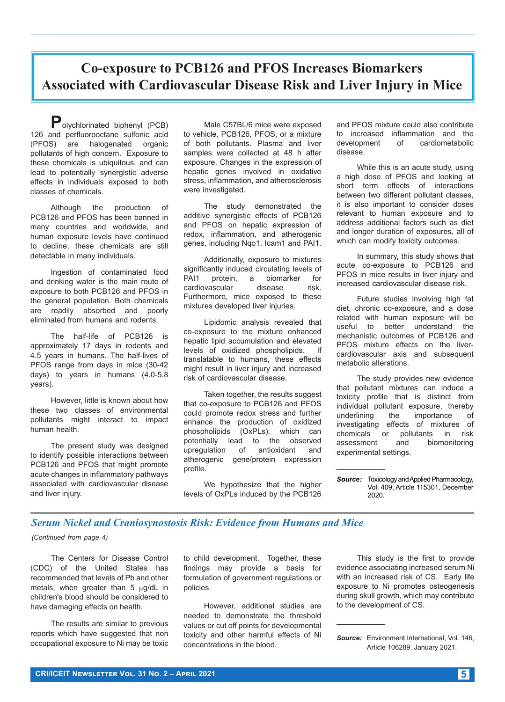**Co-exposure to PCB126 and PFOS Increases Biomarkers Associated with Cardiovascular Disease Risk and Liver Injury in Mice**

**P**olychlorinated biphenyl (PCB) 126 and perfluorooctane sulfonic acid (PFOS) are halogenated organic pollutants of high concern. Exposure to these chemicals is ubiquitous, and can lead to potentially synergistic adverse effects in individuals exposed to both classes of chemicals.

Although the production of PCB126 and PFOS has been banned in many countries and worldwide, and human exposure levels have continued to decline, these chemicals are still detectable in many individuals.

Ingestion of contaminated food and drinking water is the main route of exposure to both PCB126 and PFOS in the general population. Both chemicals are readily absorbed and poorly eliminated from humans and rodents.

The half-life of PCB126 is approximately 17 days in rodents and 4.5 years in humans. The half-lives of PFOS range from days in mice (30-42 days) to years in humans (4.0-5.8 years).

However, little is known about how these two classes of environmental pollutants might interact to impact human health.

The present study was designed to identify possible interactions between PCB126 and PFOS that might promote acute changes in inflammatory pathways associated with cardiovascular disease and liver injury.

Male C57BL/6 mice were exposed to vehicle, PCB126, PFOS, or a mixture of both pollutants. Plasma and liver samples were collected at 48 h after exposure. Changes in the expression of hepatic genes involved in oxidative stress, inflammation, and atherosclerosis were investigated.

The study demonstrated the additive synergistic effects of PCB126 and PFOS on hepatic expression of redox, inflammation, and atherogenic genes, including Nqo1, Icam1 and PAI1.

Additionally, exposure to mixtures significantly induced circulating levels of PAI1 protein, a biomarker for cardiovascular disease risk. Furthermore, mice exposed to these mixtures developed liver injuries.

Lipidomic analysis revealed that co-exposure to the mixture enhanced hepatic lipid accumulation and elevated levels of oxidized phospholipids. If translatable to humans, these effects might result in liver injury and increased risk of cardiovascular disease.

Taken together, the results suggest that co-exposure to PCB126 and PFOS could promote redox stress and further enhance the production of oxidized phospholipids (OxPLs), which can potentially lead to the observed<br>uprequlation of antioxidant and upregulation of antioxidant and atherogenic gene/protein expression profile.

We hypothesize that the higher levels of OxPLs induced by the PCB126 and PFOS mixture could also contribute to increased inflammation and the development of cardiometabolic disease.

While this is an acute study, using a high dose of PFOS and looking at short term effects of interactions between two different pollutant classes, it is also important to consider doses relevant to human exposure and to address additional factors such as diet and longer duration of exposures, all of which can modify toxicity outcomes.

In summary, this study shows that acute co-exposure to PCB126 and PFOS in mice results in liver injury and increased cardiovascular disease risk.

Future studies involving high fat diet, chronic co-exposure, and a dose related with human exposure will be useful to better understand the mechanistic outcomes of PCB126 and PFOS mixture effects on the livercardiovascular axis and subsequent metabolic alterations.

The study provides new evidence that pollutant mixtures can induce a toxicity profile that is distinct from individual pollutant exposure, thereby<br>underlining the importance of underlining the importance of investigating effects of mixtures of chemicals or pollutants in risk assessment and biomonitoring experimental settings.

*Source:* Toxicology and Applied Pharmacology, Vol. 409, Article 115301, December 2020.

#### *Serum Nickel and Craniosynostosis Risk: Evidence from Humans and Mice*

*(Continued from page 4)*

The Centers for Disease Control (CDC) of the United States has recommended that levels of Pb and other metals, when greater than  $5 \mu g/dL$  in children's blood should be considered to have damaging effects on health.

The results are similar to previous reports which have suggested that non occupational exposure to Ni may be toxic to child development. Together, these findings may provide a basis for formulation of government regulations or policies.

However, additional studies are needed to demonstrate the threshold values or cut off points for developmental toxicity and other harmful effects of Ni concentrations in the blood.

This study is the first to provide evidence associating increased serum Ni with an increased risk of CS. Early life exposure to Ni promotes osteogenesis during skull growth, which may contribute to the development of CS.

*Source:* Environment International, Vol. 146, Article 106289, January 2021.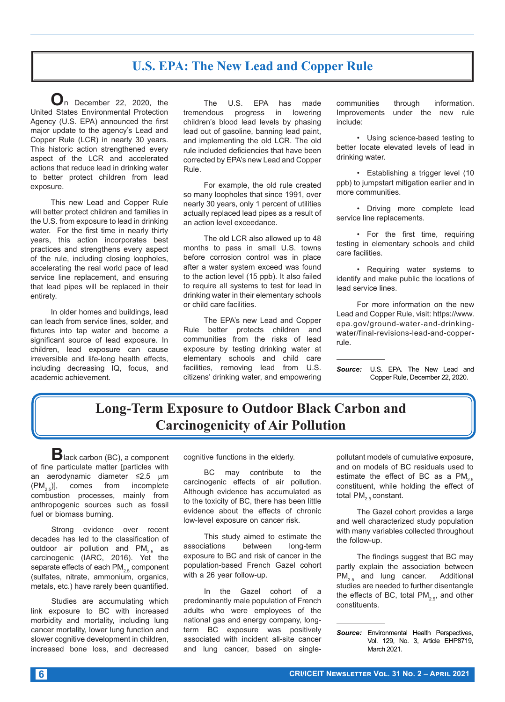#### **U.S. EPA: The New Lead and Copper Rule**

**O**n December 22, 2020, the United States Environmental Protection Agency (U.S. EPA) announced the first major update to the agency's Lead and Copper Rule (LCR) in nearly 30 years. This historic action strengthened every aspect of the LCR and accelerated actions that reduce lead in drinking water to better protect children from lead exposure.

This new Lead and Copper Rule will better protect children and families in the U.S. from exposure to lead in drinking water. For the first time in nearly thirty years, this action incorporates best practices and strengthens every aspect of the rule, including closing loopholes, accelerating the real world pace of lead service line replacement, and ensuring that lead pipes will be replaced in their entirety.

In older homes and buildings, lead can leach from service lines, solder, and fixtures into tap water and become a significant source of lead exposure. In children, lead exposure can cause irreversible and life-long health effects, including decreasing IQ, focus, and academic achievement.

The U.S. EPA has made tremendous progress in lowering children's blood lead levels by phasing lead out of gasoline, banning lead paint, and implementing the old LCR. The old rule included deficiencies that have been corrected by EPA's new Lead and Copper Rule.

For example, the old rule created so many loopholes that since 1991, over nearly 30 years, only 1 percent of utilities actually replaced lead pipes as a result of an action level exceedance.

The old LCR also allowed up to 48 months to pass in small U.S. towns before corrosion control was in place after a water system exceed was found to the action level (15 ppb). It also failed to require all systems to test for lead in drinking water in their elementary schools or child care facilities.

The EPA's new Lead and Copper Rule better protects children and communities from the risks of lead exposure by testing drinking water at elementary schools and child care facilities, removing lead from U.S. citizens' drinking water, and empowering communities through information. Improvements under the new rule include:

• Using science-based testing to better locate elevated levels of lead in drinking water.

• Establishing a trigger level (10 ppb) to jumpstart mitigation earlier and in more communities.

• Driving more complete lead service line replacements.

• For the first time, requiring testing in elementary schools and child care facilities.

• Requiring water systems to identify and make public the locations of lead service lines.

For more information on the new Lead and Copper Rule, visit: https://www. epa.gov/ground-water-and-drinkingwater/final-revisions-lead-and-copperrule.

*Source:* U.S. EPA. The New Lead and Copper Rule, December 22, 2020.

### **Long-Term Exposure to Outdoor Black Carbon and Carcinogenicity of Air Pollution**

**B**lack carbon (BC), a component of fine particulate matter [particles with an aerodynamic diameter ≤2.5 μm  $(PM_{2.5})$ ], comes from incomplete combustion processes, mainly from anthropogenic sources such as fossil fuel or biomass burning.

Strong evidence over recent decades has led to the classification of outdoor air pollution and  $PM_{2.5}$  as carcinogenic (IARC, 2016). Yet the separate effects of each  $PM_{2.5}$  component (sulfates, nitrate, ammonium, organics, metals, etc.) have rarely been quantified.

Studies are accumulating which link exposure to BC with increased morbidity and mortality, including lung cancer mortality, lower lung function and slower cognitive development in children, increased bone loss, and decreased

cognitive functions in the elderly.

BC may contribute to the carcinogenic effects of air pollution. Although evidence has accumulated as to the toxicity of BC, there has been little evidence about the effects of chronic low-level exposure on cancer risk.

This study aimed to estimate the<br>
iations between long-term associations exposure to BC and risk of cancer in the population-based French Gazel cohort with a 26 year follow-up.

In the Gazel cohort of a predominantly male population of French adults who were employees of the national gas and energy company, longterm BC exposure was positively associated with incident all-site cancer and lung cancer, based on singlepollutant models of cumulative exposure, and on models of BC residuals used to estimate the effect of BC as a  $PM_{2.5}$ constituent, while holding the effect of total  $PM_{25}$  constant.

The Gazel cohort provides a large and well characterized study population with many variables collected throughout the follow-up.

The findings suggest that BC may partly explain the association between<br>PM<sub>es</sub> and lung cancer. Additional  $PM<sub>2.5</sub>$  and lung cancer. studies are needed to further disentangle the effects of BC, total PM<sub>2.5</sub>, and other constituents.

*Source:* Environmental Health Perspectives, Vol. 129, No. 3, Article EHP8719, March 2021.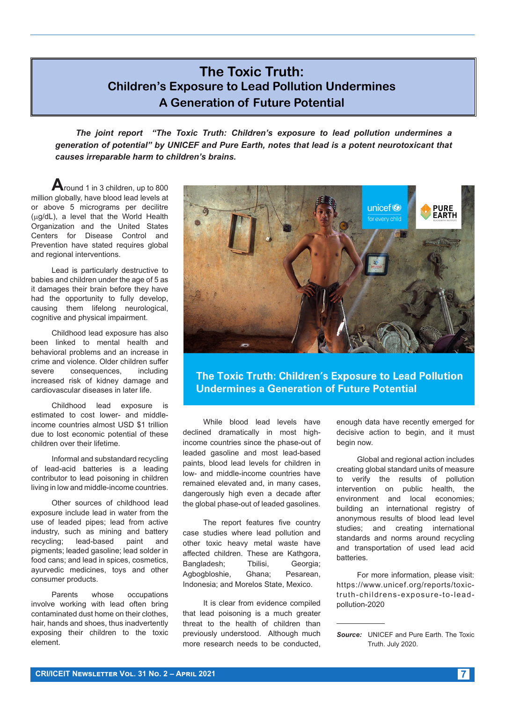#### **The Toxic Truth: Children's Exposure to Lead Pollution Undermines A Generation of Future Potential**

*The joint report "The Toxic Truth: Children's exposure to lead pollution undermines a generation of potential" by UNICEF and Pure Earth, notes that lead is a potent neurotoxicant that causes irreparable harm to children's brains.*

**A**round 1 in 3 children, up to 800 million globally, have blood lead levels at or above 5 micrograms per decilitre (mg/dL), a level that the World Health Organization and the United States Centers for Disease Control and Prevention have stated requires global and regional interventions.

Lead is particularly destructive to babies and children under the age of 5 as it damages their brain before they have had the opportunity to fully develop, causing them lifelong neurological, cognitive and physical impairment.

Childhood lead exposure has also been linked to mental health and behavioral problems and an increase in crime and violence. Older children suffer severe consequences, including increased risk of kidney damage and cardiovascular diseases in later life.

Childhood lead exposure is estimated to cost lower- and middleincome countries almost USD \$1 trillion due to lost economic potential of these children over their lifetime.

Informal and substandard recycling of lead-acid batteries is a leading contributor to lead poisoning in children living in low and middle-income countries.

Other sources of childhood lead exposure include lead in water from the use of leaded pipes; lead from active industry, such as mining and battery recycling; lead-based paint and pigments; leaded gasoline; lead solder in food cans; and lead in spices, cosmetics, ayurvedic medicines, toys and other consumer products.

Parents whose occupations involve working with lead often bring contaminated dust home on their clothes, hair, hands and shoes, thus inadvertently exposing their children to the toxic element.



**The Toxic Truth: Children's Exposure to Lead Pollution Undermines a Generation of Future Potential** 

While blood lead levels have declined dramatically in most highincome countries since the phase-out of leaded gasoline and most lead-based paints, blood lead levels for children in low- and middle-income countries have remained elevated and, in many cases, dangerously high even a decade after the global phase-out of leaded gasolines.

The report features five country case studies where lead pollution and other toxic heavy metal waste have affected children. These are Kathgora, Bangladesh; Tbilisi, Georgia; Agbogbloshie, Ghana; Pesarean, Indonesia; and Morelos State, Mexico.

It is clear from evidence compiled that lead poisoning is a much greater threat to the health of children than previously understood. Although much more research needs to be conducted, enough data have recently emerged for decisive action to begin, and it must begin now.

Global and regional action includes creating global standard units of measure to verify the results of pollution intervention on public health, the environment and local economies; building an international registry of anonymous results of blood lead level studies; and creating international standards and norms around recycling and transportation of used lead acid batteries.

For more information, please visit: https://www.unicef.org/reports/toxictruth-childrens-exposure-to-leadpollution-2020

*Source:* UNICEF and Pure Earth. The Toxic Truth. July 2020.